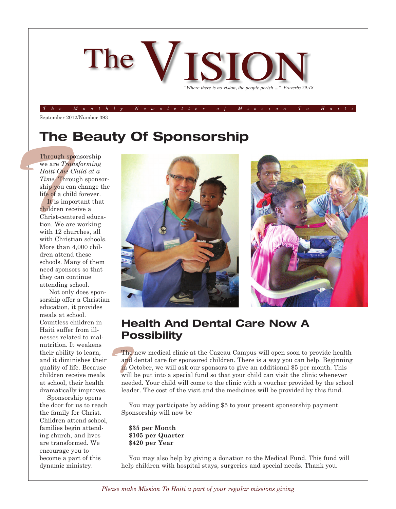

 $T$  he  $M$  on the  $\overline{l}$  y Newsletter of Mission To Hait

September 2012/Number 393

## **The Beauty Of Sponsorship**

**Through s**<br>
we are *Tre*<br> *Haiti One*<br> *Time.* Three *Time.* Three ship you contribute of a change of a change of the *T*<br> *Lis im*<br>
christ-cention. We a with 12 change of the 12 change of the state of the state of the st Through sponsorship we are *Transforming Haiti One Child at a Time.* Through sponsorship you can change the life of a child forever.

It is important that children receive a Christ-centered education. We are working with 12 churches, all with Christian schools. More than 4,000 children attend these schools. Many of them need sponsors so that they can continue attending school.

Not only does sponsorship offer a Christian education, it provides meals at school. Countless children in Haiti suffer from illnesses related to malnutrition. It weakens their ability to learn, and it diminishes their quality of life. Because children receive meals at school, their health dramatically improves.

Sponsorship opens the door for us to reach the family for Christ. Children attend school, families begin attending church, and lives are transformed. We encourage you to become a part of this dynamic ministry.



### **Health And Dental Care Now A Possibility**

The<br>and<br>in (<br>will The new medical clinic at the Cazeau Campus will open soon to provide health and dental care for sponsored children. There is a way you can help. Beginning in October, we will ask our sponsors to give an additional \$5 per month. This will be put into a special fund so that your child can visit the clinic whenever needed. Your child will come to the clinic with a voucher provided by the school leader. The cost of the visit and the medicines will be provided by this fund.

You may participate by adding \$5 to your present sponsorship payment. Sponsorship will now be

**\$35 per Month \$105 per Quarter \$420 per Year**

You may also help by giving a donation to the Medical Fund. This fund will help children with hospital stays, surgeries and special needs. Thank you.